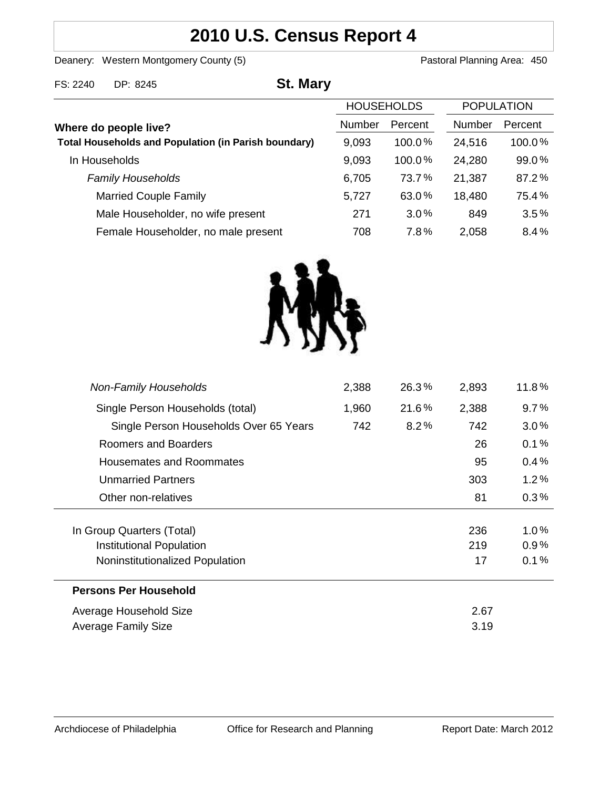# **2010 U.S. Census Report 4**

Deanery: Western Montgomery County (5) **Pastoral Planning Area: 450** 

| FS: 2240                                                    | DP: 8245                            | <b>St. Mary</b> |                   |         |                   |         |
|-------------------------------------------------------------|-------------------------------------|-----------------|-------------------|---------|-------------------|---------|
|                                                             |                                     |                 | <b>HOUSEHOLDS</b> |         | <b>POPULATION</b> |         |
|                                                             | Where do people live?               |                 | <b>Number</b>     | Percent | <b>Number</b>     | Percent |
| <b>Total Households and Population (in Parish boundary)</b> |                                     |                 | 9,093             | 100.0%  | 24,516            | 100.0%  |
|                                                             | In Households                       |                 | 9,093             | 100.0%  | 24,280            | 99.0%   |
|                                                             | <b>Family Households</b>            |                 | 6,705             | 73.7%   | 21,387            | 87.2%   |
|                                                             | <b>Married Couple Family</b>        |                 | 5,727             | 63.0%   | 18,480            | 75.4%   |
|                                                             | Male Householder, no wife present   |                 | 271               | $3.0\%$ | 849               | 3.5%    |
|                                                             | Female Householder, no male present |                 | 708               | 7.8%    | 2,058             | 8.4%    |



| 2,388 | 26.3% | 2,893 | 11.8%   |
|-------|-------|-------|---------|
| 1,960 | 21.6% | 2,388 | 9.7%    |
| 742   | 8.2%  | 742   | 3.0%    |
|       |       | 26    | $0.1\%$ |
|       |       | 95    | $0.4\%$ |
|       |       | 303   | $1.2\%$ |
|       |       | 81    | 0.3%    |
|       |       |       |         |
|       |       | 236   | 1.0%    |
|       |       | 219   | $0.9\%$ |
|       |       | 17    | 0.1%    |
|       |       |       |         |
|       |       | 2.67  |         |
|       |       | 3.19  |         |
|       |       |       |         |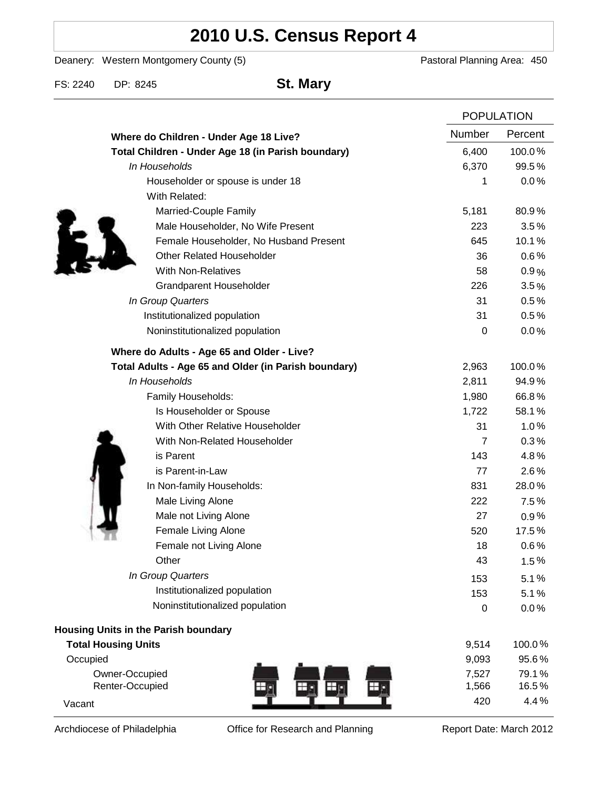# **2010 U.S. Census Report 4**

Deanery: Western Montgomery County (5) Deanery: Western Montgomery County (5)

FS: 2240 DP: 8245 **St. Mary**

|                                                      |                | <b>POPULATION</b> |  |
|------------------------------------------------------|----------------|-------------------|--|
| Where do Children - Under Age 18 Live?               | Number         | Percent           |  |
| Total Children - Under Age 18 (in Parish boundary)   | 6,400          | 100.0%            |  |
| In Households                                        | 6,370          | 99.5%             |  |
| Householder or spouse is under 18                    | 1              | 0.0%              |  |
| With Related:                                        |                |                   |  |
| Married-Couple Family                                | 5,181          | 80.9%             |  |
| Male Householder, No Wife Present                    | 223            | 3.5%              |  |
| Female Householder, No Husband Present               | 645            | 10.1%             |  |
| <b>Other Related Householder</b>                     | 36             | 0.6%              |  |
| <b>With Non-Relatives</b>                            | 58             | 0.9%              |  |
| <b>Grandparent Householder</b>                       | 226            | 3.5%              |  |
| In Group Quarters                                    | 31             | 0.5%              |  |
| Institutionalized population                         | 31             | 0.5%              |  |
| Noninstitutionalized population                      | 0              | 0.0%              |  |
| Where do Adults - Age 65 and Older - Live?           |                |                   |  |
| Total Adults - Age 65 and Older (in Parish boundary) | 2,963          | 100.0%            |  |
| In Households                                        | 2,811          | 94.9%             |  |
| Family Households:                                   | 1,980          | 66.8%             |  |
| Is Householder or Spouse                             | 1,722          | 58.1%             |  |
| With Other Relative Householder                      | 31             | 1.0%              |  |
| With Non-Related Householder                         | $\overline{7}$ | 0.3%              |  |
| is Parent                                            | 143            | 4.8%              |  |
| is Parent-in-Law                                     | 77             | 2.6%              |  |
| In Non-family Households:                            | 831            | 28.0%             |  |
| Male Living Alone                                    | 222            | 7.5%              |  |
| Male not Living Alone                                | 27             | 0.9%              |  |
| Female Living Alone                                  | 520            | 17.5%             |  |
| Female not Living Alone                              | 18             | 0.6%              |  |
| Other                                                | 43             | 1.5%              |  |
| In Group Quarters                                    | 153            | 5.1%              |  |
| Institutionalized population                         | 153            | 5.1%              |  |
| Noninstitutionalized population                      | 0              | 0.0%              |  |
| <b>Housing Units in the Parish boundary</b>          |                |                   |  |
| <b>Total Housing Units</b>                           | 9,514          | 100.0%            |  |
| Occupied                                             | 9,093          | 95.6%             |  |
| Owner-Occupied                                       | 7,527          | 79.1%             |  |
| Renter-Occupied                                      | 1,566          | 16.5%             |  |
| Vacant                                               | 420            | 4.4%              |  |

Archdiocese of Philadelphia **Office for Research and Planning** Report Date: March 2012